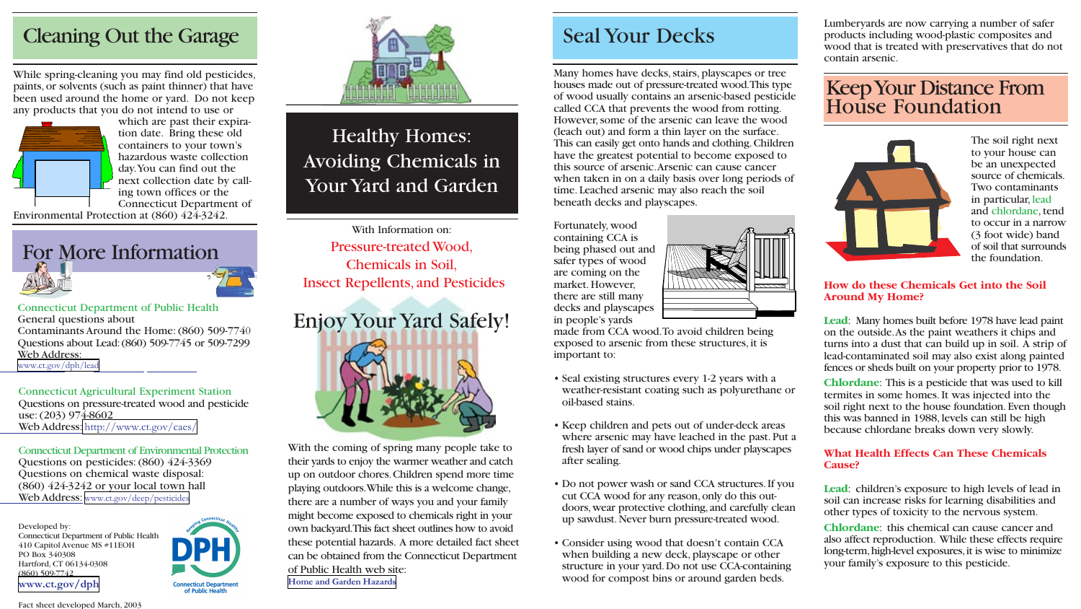Lumberyards are now carrying a number of safer products including wood-plastic composites and wood that is treated with preservatives that do not contain arsenic.



The soil right next to your house can be an unexpected source of chemicals. Two contaminants in particular, lead and chlordane, tend to occur in a narrow (3 foot wide) band of soil that surrounds the foundation.

### **How do these Chemicals Get into the Soil Around My Home?**

**Lead**: Many homes built before 1978 have lead paint on the outside.As the paint weathers it chips and turns into a dust that can build up in soil. A strip of lead-contaminated soil may also exist along painted fences or sheds built on your property prior to 1978.

Many homes have decks, stairs, playscapes or tree houses made out of pressure-treated wood.This type of wood usually contains an arsenic-based pesticide called CCA that prevents the wood from rotting. However, some of the arsenic can leave the wood (leach out) and form a thin layer on the surface. This can easily get onto hands and clothing.Children have the greatest potential to become exposed to this source of arsenic.Arsenic can cause cancer when taken in on a daily basis over long periods of time. Leached arsenic may also reach the soil beneath decks and playscapes. While spring-cleaning you may find old pesticides,<br>
paints, or solvents (such as paint thinner) that have<br>
been used around the home or yard. Do not keep<br>
any products that you do not intend to use or<br>
any products that yo

> **Chlordane**: This is a pesticide that was used to kill termites in some homes. It was injected into the soil right next to the house foundation.Even though this was banned in 1988, levels can still be high because chlordane breaks down very slowly.

# **What Health Effects Can These Chemicals**

# **Cause?**

**Lead**: children's exposure to high levels of lead in soil can increase risks for learning disabilities and other types of toxicity to the nervous system.

**Chlordane**: this chemical can cause cancer and also affect reproduction. While these effects require long-term, high-level exposures, it is wise to minimize your family's exposure to this pesticide.



Fortunately, wood containing CCA is being phased out and safer types of wood are coming on the market. However, there are still many decks and playscapes in people's yards



Connecticut Department of Environmental Protection Questions on pesticides:(860) 424-3369 Questions on chemical waste disposal: (860) 424-3242 or your local town hall Web Address: <www.ct.gov/deep/pesticides>

- Seal existing structures every 1-2 years with a weather-resistant coating such as polyurethane or oil-based stains.
- Keep children and pets out of under-deck areas where arsenic may have leached in the past. Put a fresh layer of sand or wood chips under playscapes after sealing.
- Do not power wash or sand CCA structures.If you cut CCA wood for any reason,only do this outdoors,wear protective clothing,and carefully clean up sawdust.Never burn pressure-treated wood.
- Consider using wood that doesn't contain CCA when building a new deck, playscape or other structure in your yard.Do not use CCA-containing wood for compost bins or around garden beds.



Connecticut Department of Public Health General questions about Contaminants Around the Home:(860) 509-774 0 Questions about Lead:(860) 509-7745 or 509-7299 Web Address: <www.ct.gov/dph/lead>

# Healthy Homes: Avoiding Chemicals in Your Yard and Garden

## Cleaning Out the Garage Seal Your Decks



which are past their expiration date. Bring these old containers to your town's hazardous waste collection day.You can find out the next collection date by calling town offices or the Connecticut Department of

Environmental Protection at (860) 424-3242.



With the coming of spring many people take to their yards to enjoy the warmer weather and catch up on outdoor chores.Children spend more time playing outdoors.While this is a welcome change, there are a number of ways you and your family might become exposed to chemicals right in your own backyard.This fact sheet outlines how to avoid these potential hazards. A more detailed fact sheet can be obtained from the Connecticut Department of Public Health web site: **[Home and Garden Hazards](http://www.ct.gov/dph/cwp/view.asp?a=3140&q=387464)**

With Information on: Pressure-treated Wood, Chemicals in Soil, Insect Repellents, and Pesticides

Connecticut Agricultural Experiment Station Questions on pressure-treated wood and pesticide use:(203) 974-8602 Web Address: <http://www.ct.gov/caes/>

Developed by: Connecticut Department of Public Health 410 Capitol Avenue MS #11EOH PO Box 340308 Hartford, CT 06134-0308 (860) 509-7742 **[www.ct.gov/dph](http://www.ct.gov/dph/site/default.asp)**





Fact sheet developed March, 2003